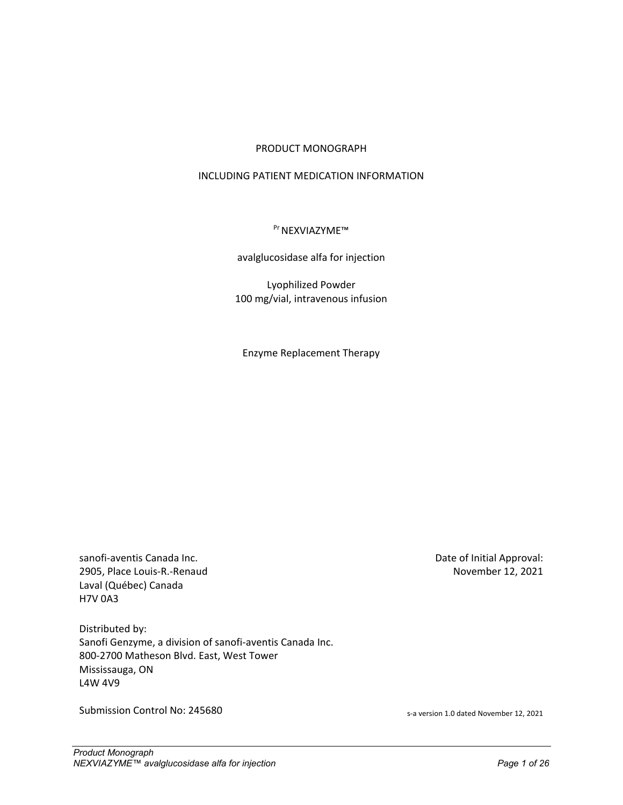#### PRODUCT MONOGRAPH

### INCLUDING PATIENT MEDICATION INFORMATION

### <sup>Pr</sup> NEXVIAZYME™

#### avalglucosidase alfa for injection

Lyophilized Powder 100 mg/vial, intravenous infusion

Enzyme Replacement Therapy

sanofi-aventis Canada Inc. 2905, Place Louis-R.-Renaud Laval (Québec) Canada H7V 0A3

Distributed by: Sanofi Genzyme, a division of sanofi-aventis Canada Inc. 800-2700 Matheson Blvd. East, West Tower Mississauga, ON L4W 4V9

Submission Control No: 245680 same of the set of the set of the set of the set of the set of the set of the set of the set of the set of the set of the set of the set of the set of the set of the set of the set of the set

Date of Initial Approval: November 12, 2021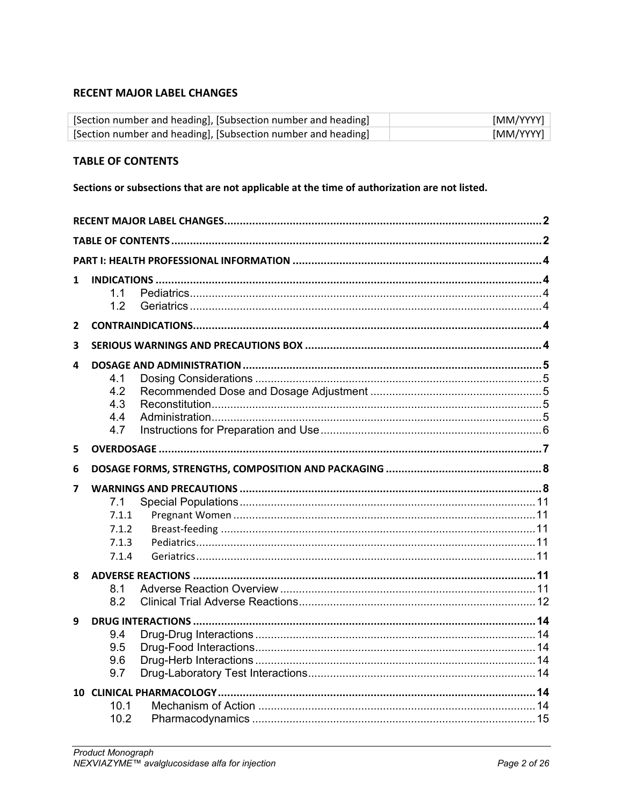# <span id="page-1-0"></span>**RECENT MAJOR LABEL CHANGES**

| [Section number and heading], [Subsection number and heading] | [MM/YYYY] |
|---------------------------------------------------------------|-----------|
| [Section number and heading], [Subsection number and heading] | [MM/YYYY] |

# <span id="page-1-1"></span>**TABLE OF CONTENTS**

Sections or subsections that are not applicable at the time of authorization are not listed.

| 1              | 11<br>1.2                       |  |  |  |  |  |
|----------------|---------------------------------|--|--|--|--|--|
|                |                                 |  |  |  |  |  |
| $\overline{2}$ |                                 |  |  |  |  |  |
| 3              |                                 |  |  |  |  |  |
| 4              | 4.1<br>4.2<br>4.3<br>4.4<br>4.7 |  |  |  |  |  |
| 5              |                                 |  |  |  |  |  |
| 6              |                                 |  |  |  |  |  |
| 7              |                                 |  |  |  |  |  |
|                | 7.1<br>7.1.1                    |  |  |  |  |  |
|                | 7.1.2<br>7.1.3<br>7.1.4         |  |  |  |  |  |
| 8              | 8.1<br>8.2                      |  |  |  |  |  |
| 9              | 9.4<br>9.5<br>9.6<br>9.7        |  |  |  |  |  |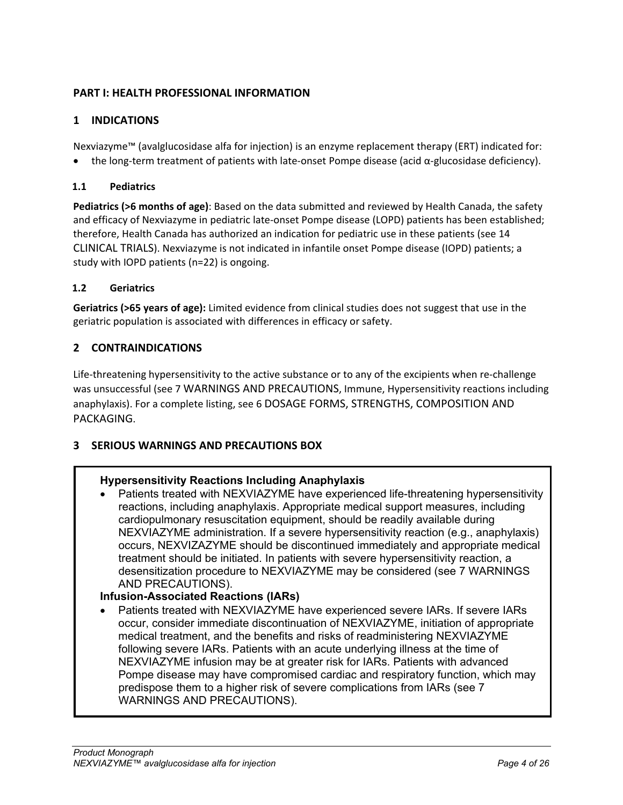# <span id="page-3-0"></span>**PART I: HEALTH PROFESSIONAL INFORMATION**

# <span id="page-3-1"></span>**1 INDICATIONS**

Nexviazyme™ (avalglucosidase alfa for injection) is an enzyme replacement therapy (ERT) indicated for:

<span id="page-3-2"></span>• the long-term treatment of patients with late-onset Pompe disease (acid α-glucosidase deficiency).

# **1.1 Pediatrics**

**Pediatrics (>6 months of age)**: Based on the data submitted and reviewed by Health Canada, the safety and efficacy of Nexviazyme in pediatric late-onset Pompe disease (LOPD) patients has been established; therefore, Health Canada has authorized an indication for pediatric use in these patients (see 14 [CLINICAL TRIALS\)](#page-17-0). Nexviazyme is not indicated in infantile onset Pompe disease (IOPD) patients; a study with IOPD patients (n=22) is ongoing.

# <span id="page-3-3"></span>**1.2 Geriatrics**

**Geriatrics (>65 years of age):** Limited evidence from clinical studies does not suggest that use in the geriatric population is associated with differences in efficacy or safety.

# <span id="page-3-4"></span>**2 CONTRAINDICATIONS**

Life-threatening hypersensitivity to the active substance or to any of the excipients when re-challenge was unsuccessful (see 7 [WARNINGS AND PRECAUTIONS,](#page-7-1) Immune, Hypersensitivity reactions including anaphylaxis). For a complete listing, see 6 DOSAGE [FORMS, STRENGTHS, COMPOSITION AND](#page-7-0)  [PACKAGING.](#page-7-0)

# <span id="page-3-5"></span>**3 SERIOUS WARNINGS AND PRECAUTIONS BOX**

# **Hypersensitivity Reactions Including Anaphylaxis**

• Patients treated with NEXVIAZYME have experienced life-threatening hypersensitivity reactions, including anaphylaxis. Appropriate medical support measures, including cardiopulmonary resuscitation equipment, should be readily available during NEXVIAZYME administration. If a severe hypersensitivity reaction (e.g., anaphylaxis) occurs, NEXVIZAZYME should be discontinued immediately and appropriate medical treatment should be initiated. In patients with severe hypersensitivity reaction, a desensitization procedure to NEXVIAZYME may be considered (see 7 [WARNINGS](#page-7-1)  [AND PRECAUTIONS\)](#page-7-1).

# **Infusion-Associated Reactions (IARs)**

• Patients treated with NEXVIAZYME have experienced severe IARs. If severe IARs occur, consider immediate discontinuation of NEXVIAZYME, initiation of appropriate medical treatment, and the benefits and risks of readministering NEXVIAZYME following severe IARs. Patients with an acute underlying illness at the time of NEXVIAZYME infusion may be at greater risk for IARs. Patients with advanced Pompe disease may have compromised cardiac and respiratory function, which may predispose them to a higher risk of severe complications from IARs (see 7 [WARNINGS AND PRECAUTIONS\)](#page-7-1).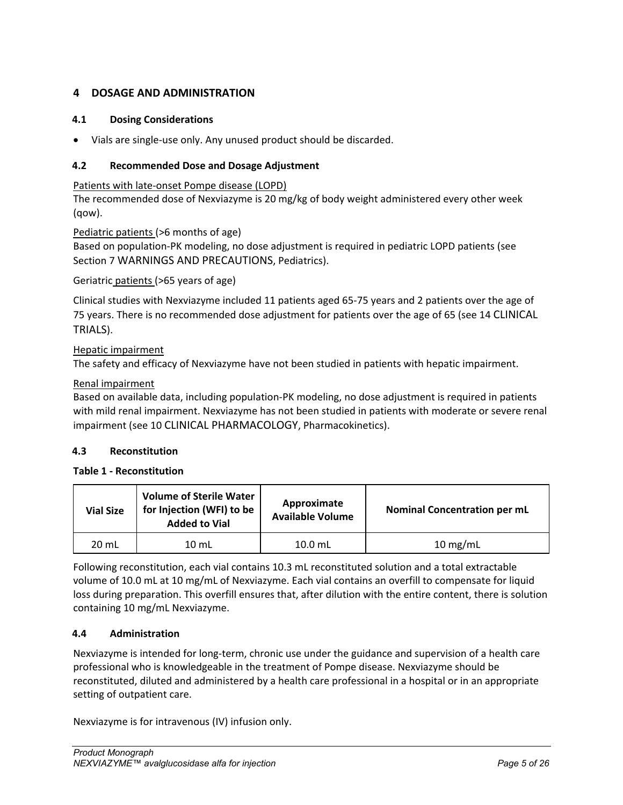# <span id="page-4-0"></span>**4 DOSAGE AND ADMINISTRATION**

## <span id="page-4-1"></span>**4.1 Dosing Considerations**

<span id="page-4-2"></span>• Vials are single-use only. Any unused product should be discarded.

### **4.2 Recommended Dose and Dosage Adjustment**

Patients with late-onset Pompe disease (LOPD)

The recommended dose of Nexviazyme is 20 mg/kg of body weight administered every other week (qow).

### Pediatric patients (>6 months of age)

Based on population-PK modeling, no dose adjustment is required in pediatric LOPD patients (see Section 7 [WARNINGS AND PRECAUTIONS,](#page-7-1) Pediatrics).

### Geriatric patients (>65 years of age)

Clinical studies with Nexviazyme included 11 patients aged 65-75 years and 2 patients over the age of 75 years. There is no recommended dose adjustment for patients over the age of 65 (see 14 [CLINICAL](#page-17-0)  [TRIALS\)](#page-17-0).

## Hepatic impairment

The safety and efficacy of Nexviazyme have not been studied in patients with hepatic impairment.

## Renal impairment

Based on available data, including population-PK modeling, no dose adjustment is required in patients with mild renal impairment. Nexviazyme has not been studied in patients with moderate or severe renal impairment (see 1[0 CLINICAL PHARMACOLOGY,](#page-13-5) Pharmacokinetics).

### <span id="page-4-3"></span>**4.3 Reconstitution**

### **Table 1 - Reconstitution**

| <b>Vial Size</b> | Volume of Sterile Water<br>for Injection (WFI) to be<br><b>Added to Vial</b> | Approximate<br><b>Available Volume</b> | <b>Nominal Concentration per mL</b> |
|------------------|------------------------------------------------------------------------------|----------------------------------------|-------------------------------------|
| 20 mL            | $10 \mathrm{m}$ L                                                            | $10.0$ mL                              | $10$ mg/mL                          |

Following reconstitution, each vial contains 10.3 mL reconstituted solution and a total extractable volume of 10.0 mL at 10 mg/mL of Nexviazyme. Each vial contains an overfill to compensate for liquid loss during preparation. This overfill ensures that, after dilution with the entire content, there is solution containing 10 mg/mL Nexviazyme.

### <span id="page-4-4"></span>**4.4 Administration**

Nexviazyme is intended for long-term, chronic use under the guidance and supervision of a health care professional who is knowledgeable in the treatment of Pompe disease. Nexviazyme should be reconstituted, diluted and administered by a health care professional in a hospital or in an appropriate setting of outpatient care.

Nexviazyme is for intravenous (IV) infusion only.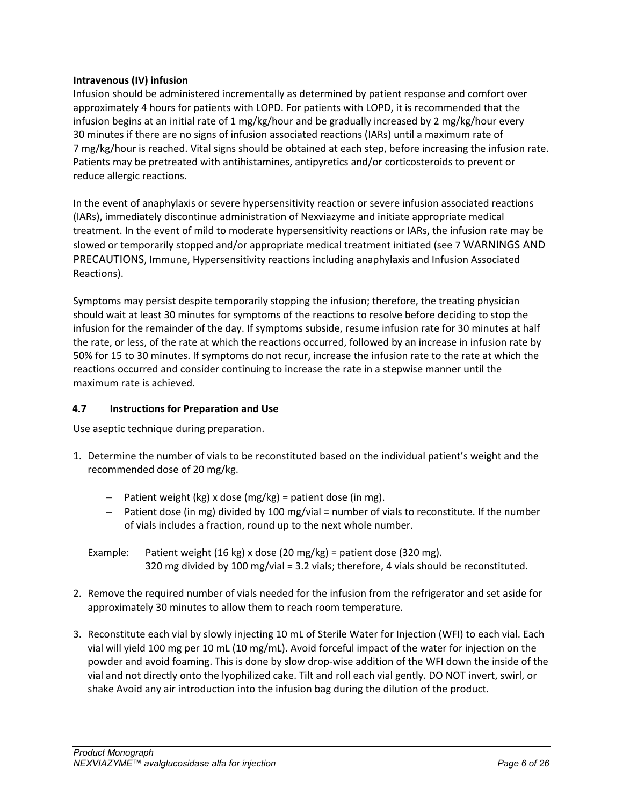## **Intravenous (IV) infusion**

Infusion should be administered incrementally as determined by patient response and comfort over approximately 4 hours for patients with LOPD. For patients with LOPD, it is recommended that the infusion begins at an initial rate of 1 mg/kg/hour and be gradually increased by 2 mg/kg/hour every 30 minutes if there are no signs of infusion associated reactions (IARs) until a maximum rate of 7 mg/kg/hour is reached. Vital signs should be obtained at each step, before increasing the infusion rate. Patients may be pretreated with antihistamines, antipyretics and/or corticosteroids to prevent or reduce allergic reactions.

In the event of anaphylaxis or severe hypersensitivity reaction or severe infusion associated reactions (IARs), immediately discontinue administration of Nexviazyme and initiate appropriate medical treatment. In the event of mild to moderate hypersensitivity reactions or IARs, the infusion rate may be slowed or temporarily stopped and/or appropriate medical treatment initiated (see 7 [WARNINGS AND](#page-7-1)  [PRECAUTIONS,](#page-7-1) Immune, Hypersensitivity reactions including anaphylaxis and Infusion Associated Reactions).

Symptoms may persist despite temporarily stopping the infusion; therefore, the treating physician should wait at least 30 minutes for symptoms of the reactions to resolve before deciding to stop the infusion for the remainder of the day. If symptoms subside, resume infusion rate for 30 minutes at half the rate, or less, of the rate at which the reactions occurred, followed by an increase in infusion rate by 50% for 15 to 30 minutes. If symptoms do not recur, increase the infusion rate to the rate at which the reactions occurred and consider continuing to increase the rate in a stepwise manner until the maximum rate is achieved.

# <span id="page-5-0"></span>**4.7 Instructions for Preparation and Use**

Use aseptic technique during preparation.

- 1. Determine the number of vials to be reconstituted based on the individual patient's weight and the recommended dose of 20 mg/kg.
	- − Patient weight (kg) x dose (mg/kg) = patient dose (in mg).
	- − Patient dose (in mg) divided by 100 mg/vial = number of vials to reconstitute. If the number of vials includes a fraction, round up to the next whole number.

Example: Patient weight (16 kg) x dose (20 mg/kg) = patient dose (320 mg). 320 mg divided by 100 mg/vial = 3.2 vials; therefore, 4 vials should be reconstituted.

- 2. Remove the required number of vials needed for the infusion from the refrigerator and set aside for approximately 30 minutes to allow them to reach room temperature.
- 3. Reconstitute each vial by slowly injecting 10 mL of Sterile Water for Injection (WFI) to each vial. Each vial will yield 100 mg per 10 mL (10 mg/mL). Avoid forceful impact of the water for injection on the powder and avoid foaming. This is done by slow drop-wise addition of the WFI down the inside of the vial and not directly onto the lyophilized cake. Tilt and roll each vial gently. DO NOT invert, swirl, or shake Avoid any air introduction into the infusion bag during the dilution of the product.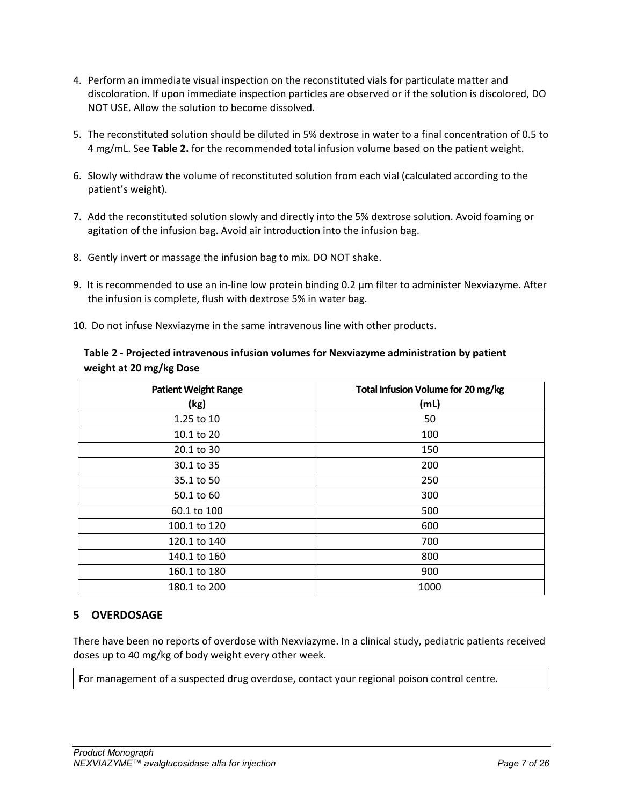- 4. Perform an immediate visual inspection on the reconstituted vials for particulate matter and discoloration. If upon immediate inspection particles are observed or if the solution is discolored, DO NOT USE. Allow the solution to become dissolved.
- 5. The reconstituted solution should be diluted in 5% dextrose in water to a final concentration of 0.5 to 4 mg/mL. See **[Table 2.](#page-6-1)** for the recommended total infusion volume based on the patient weight.
- 6. Slowly withdraw the volume of reconstituted solution from each vial (calculated according to the patient's weight).
- 7. Add the reconstituted solution slowly and directly into the 5% dextrose solution. Avoid foaming or agitation of the infusion bag. Avoid air introduction into the infusion bag.
- 8. Gently invert or massage the infusion bag to mix. DO NOT shake.
- 9. It is recommended to use an in-line low protein binding 0.2 μm filter to administer Nexviazyme. After the infusion is complete, flush with dextrose 5% in water bag.
- 10. Do not infuse Nexviazyme in the same intravenous line with other products.

| <b>Patient Weight Range</b> | Total Infusion Volume for 20 mg/kg |
|-----------------------------|------------------------------------|
| (kg)                        | (mL)                               |
| 1.25 to 10                  | 50                                 |
| 10.1 to 20                  | 100                                |
| 20.1 to 30                  | 150                                |
| 30.1 to 35                  | 200                                |
| 35.1 to 50                  | 250                                |
| 50.1 to 60                  | 300                                |
| 60.1 to 100                 | 500                                |
| 100.1 to 120                | 600                                |
| 120.1 to 140                | 700                                |
| 140.1 to 160                | 800                                |
| 160.1 to 180                | 900                                |
| 180.1 to 200                | 1000                               |

# <span id="page-6-1"></span>**Table 2 - Projected intravenous infusion volumes for Nexviazyme administration by patient weight at 20 mg/kg Dose**

# <span id="page-6-0"></span>**5 OVERDOSAGE**

There have been no reports of overdose with Nexviazyme. In a clinical study, pediatric patients received doses up to 40 mg/kg of body weight every other week.

For management of a suspected drug overdose, contact your regional poison control centre.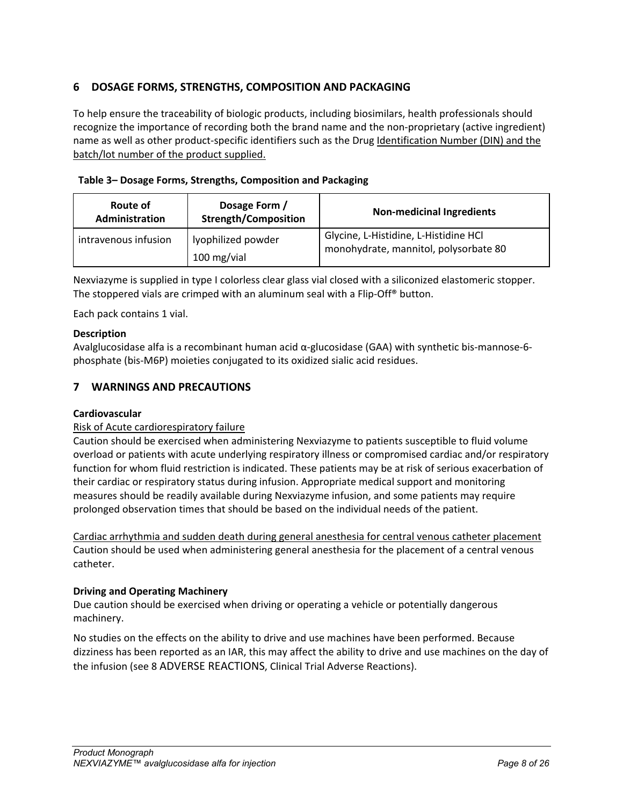# <span id="page-7-0"></span>**6 DOSAGE FORMS, STRENGTHS, COMPOSITION AND PACKAGING**

To help ensure the traceability of biologic products, including biosimilars, health professionals should recognize the importance of recording both the brand name and the non-proprietary (active ingredient) name as well as other product-specific identifiers such as the Drug Identification Number (DIN) and the batch/lot number of the product supplied.

|  |  |  |  |  |  | Table 3- Dosage Forms, Strengths, Composition and Packaging |
|--|--|--|--|--|--|-------------------------------------------------------------|
|--|--|--|--|--|--|-------------------------------------------------------------|

| Route of<br>Administration | Dosage Form /<br><b>Strength/Composition</b> | <b>Non-medicinal Ingredients</b>                                               |
|----------------------------|----------------------------------------------|--------------------------------------------------------------------------------|
| intravenous infusion       | lyophilized powder<br>100 mg/vial            | Glycine, L-Histidine, L-Histidine HCl<br>monohydrate, mannitol, polysorbate 80 |

Nexviazyme is supplied in type I colorless clear glass vial closed with a siliconized elastomeric stopper. The stoppered vials are crimped with an aluminum seal with a Flip-Off® button.

Each pack contains 1 vial.

## **Description**

Avalglucosidase alfa is a recombinant human acid α-glucosidase (GAA) with synthetic bis-mannose-6 phosphate (bis-M6P) moieties conjugated to its oxidized sialic acid residues.

# <span id="page-7-1"></span>**7 WARNINGS AND PRECAUTIONS**

### **Cardiovascular**

### Risk of Acute cardiorespiratory failure

Caution should be exercised when administering Nexviazyme to patients susceptible to fluid volume overload or patients with acute underlying respiratory illness or compromised cardiac and/or respiratory function for whom fluid restriction is indicated. These patients may be at risk of serious exacerbation of their cardiac or respiratory status during infusion. Appropriate medical support and monitoring measures should be readily available during Nexviazyme infusion, and some patients may require prolonged observation times that should be based on the individual needs of the patient.

Cardiac arrhythmia and sudden death during general anesthesia for central venous catheter placement Caution should be used when administering general anesthesia for the placement of a central venous catheter.

### **Driving and Operating Machinery**

Due caution should be exercised when driving or operating a vehicle or potentially dangerous machinery.

No studies on the effects on the ability to drive and use machines have been performed. Because dizziness has been reported as an IAR, this may affect the ability to drive and use machines on the day of the infusion (see 8 ADVERSE [REACTIONS,](#page-10-5) Clinical Trial Adverse Reactions).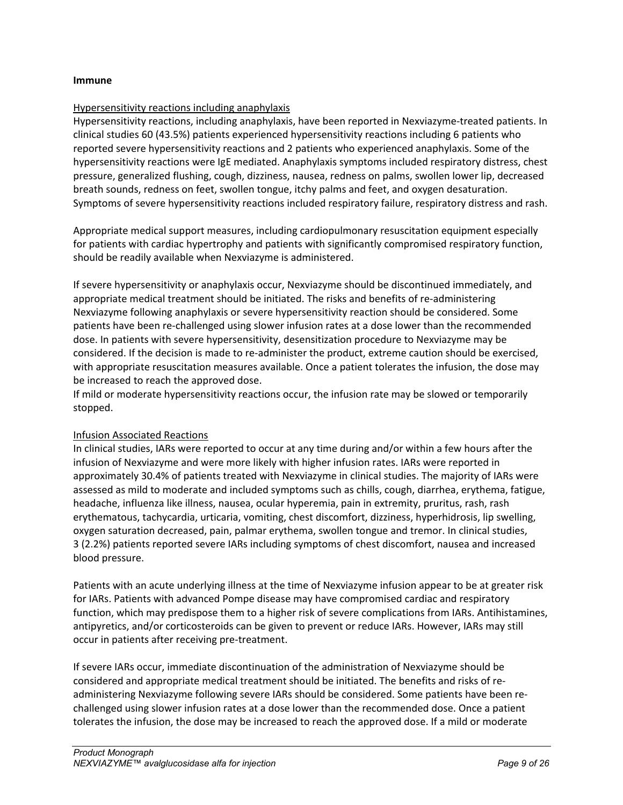#### **Immune**

### Hypersensitivity reactions including anaphylaxis

Hypersensitivity reactions, including anaphylaxis, have been reported in Nexviazyme-treated patients. In clinical studies 60 (43.5%) patients experienced hypersensitivity reactions including 6 patients who reported severe hypersensitivity reactions and 2 patients who experienced anaphylaxis. Some of the hypersensitivity reactions were IgE mediated. Anaphylaxis symptoms included respiratory distress, chest pressure, generalized flushing, cough, dizziness, nausea, redness on palms, swollen lower lip, decreased breath sounds, redness on feet, swollen tongue, itchy palms and feet, and oxygen desaturation. Symptoms of severe hypersensitivity reactions included respiratory failure, respiratory distress and rash.

Appropriate medical support measures, including cardiopulmonary resuscitation equipment especially for patients with cardiac hypertrophy and patients with significantly compromised respiratory function, should be readily available when Nexviazyme is administered.

If severe hypersensitivity or anaphylaxis occur, Nexviazyme should be discontinued immediately, and appropriate medical treatment should be initiated. The risks and benefits of re-administering Nexviazyme following anaphylaxis or severe hypersensitivity reaction should be considered. Some patients have been re-challenged using slower infusion rates at a dose lower than the recommended dose. In patients with severe hypersensitivity, desensitization procedure to Nexviazyme may be considered. If the decision is made to re-administer the product, extreme caution should be exercised, with appropriate resuscitation measures available. Once a patient tolerates the infusion, the dose may be increased to reach the approved dose.

If mild or moderate hypersensitivity reactions occur, the infusion rate may be slowed or temporarily stopped.

### Infusion Associated Reactions

In clinical studies, IARs were reported to occur at any time during and/or within a few hours after the infusion of Nexviazyme and were more likely with higher infusion rates. IARs were reported in approximately 30.4% of patients treated with Nexviazyme in clinical studies. The majority of IARs were assessed as mild to moderate and included symptoms such as chills, cough, diarrhea, erythema, fatigue, headache, influenza like illness, nausea, ocular hyperemia, pain in extremity, pruritus, rash, rash erythematous, tachycardia, urticaria, vomiting, chest discomfort, dizziness, hyperhidrosis, lip swelling, oxygen saturation decreased, pain, palmar erythema, swollen tongue and tremor. In clinical studies, 3 (2.2%) patients reported severe IARs including symptoms of chest discomfort, nausea and increased blood pressure.

Patients with an acute underlying illness at the time of Nexviazyme infusion appear to be at greater risk for IARs. Patients with advanced Pompe disease may have compromised cardiac and respiratory function, which may predispose them to a higher risk of severe complications from IARs. Antihistamines, antipyretics, and/or corticosteroids can be given to prevent or reduce IARs. However, IARs may still occur in patients after receiving pre-treatment.

If severe IARs occur, immediate discontinuation of the administration of Nexviazyme should be considered and appropriate medical treatment should be initiated. The benefits and risks of readministering Nexviazyme following severe IARs should be considered. Some patients have been rechallenged using slower infusion rates at a dose lower than the recommended dose. Once a patient tolerates the infusion, the dose may be increased to reach the approved dose. If a mild or moderate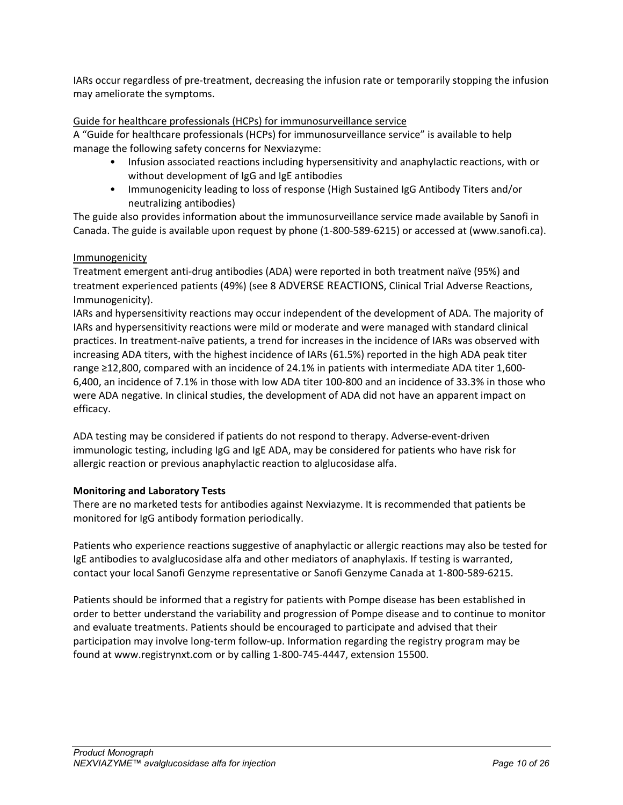IARs occur regardless of pre-treatment, decreasing the infusion rate or temporarily stopping the infusion may ameliorate the symptoms.

## Guide for healthcare professionals (HCPs) for immunosurveillance service

A "Guide for healthcare professionals (HCPs) for immunosurveillance service" is available to help manage the following safety concerns for Nexviazyme:

- Infusion associated reactions including hypersensitivity and anaphylactic reactions, with or without development of IgG and IgE antibodies
- Immunogenicity leading to loss of response (High Sustained IgG Antibody Titers and/or neutralizing antibodies)

The guide also provides information about the immunosurveillance service made available by Sanofi in Canada. The guide is available upon request by phone (1-800-589-6215) or accessed at (www.sanofi.ca).

### Immunogenicity

Treatment emergent anti-drug antibodies (ADA) were reported in both treatment naïve (95%) and treatment experienced patients (49%) (see 8 ADVERSE [REACTIONS,](#page-10-5) Clinical Trial Adverse Reactions, Immunogenicity).

IARs and hypersensitivity reactions may occur independent of the development of ADA. The majority of IARs and hypersensitivity reactions were mild or moderate and were managed with standard clinical practices. In treatment-naïve patients, a trend for increases in the incidence of IARs was observed with increasing ADA titers, with the highest incidence of IARs (61.5%) reported in the high ADA peak titer range ≥12,800, compared with an incidence of 24.1% in patients with intermediate ADA titer 1,600- 6,400, an incidence of 7.1% in those with low ADA titer 100-800 and an incidence of 33.3% in those who were ADA negative. In clinical studies, the development of ADA did not have an apparent impact on efficacy.

ADA testing may be considered if patients do not respond to therapy. Adverse-event-driven immunologic testing, including IgG and IgE ADA, may be considered for patients who have risk for allergic reaction or previous anaphylactic reaction to alglucosidase alfa.

### **Monitoring and Laboratory Tests**

There are no marketed tests for antibodies against Nexviazyme. It is recommended that patients be monitored for IgG antibody formation periodically.

Patients who experience reactions suggestive of anaphylactic or allergic reactions may also be tested for IgE antibodies to avalglucosidase alfa and other mediators of anaphylaxis. If testing is warranted, contact your local Sanofi Genzyme representative or Sanofi Genzyme Canada at 1-800-589-6215.

Patients should be informed that a registry for patients with Pompe disease has been established in order to better understand the variability and progression of Pompe disease and to continue to monitor and evaluate treatments. Patients should be encouraged to participate and advised that their participation may involve long-term follow-up. Information regarding the registry program may be found at www.registrynxt.com or by calling 1-800-745-4447, extension 15500.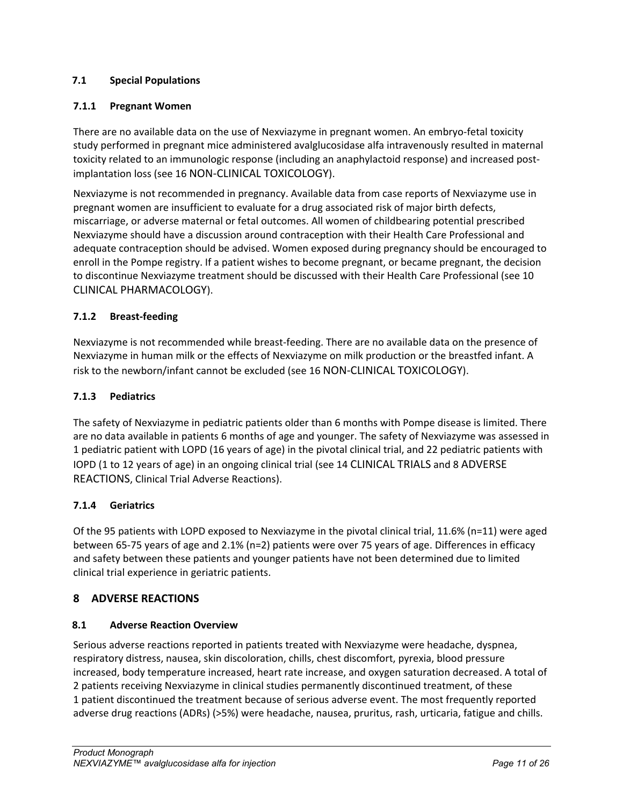# <span id="page-10-0"></span>**7.1 Special Populations**

# <span id="page-10-1"></span>**7.1.1 Pregnant Women**

There are no available data on the use of Nexviazyme in pregnant women. An embryo-fetal toxicity study performed in pregnant mice administered avalglucosidase alfa intravenously resulted in maternal toxicity related to an immunologic response (including an anaphylactoid response) and increased postimplantation loss (see 16 [NON-CLINICAL TOXICOLOGY\)](#page-20-0).

Nexviazyme is not recommended in pregnancy. Available data from case reports of Nexviazyme use in pregnant women are insufficient to evaluate for a drug associated risk of major birth defects, miscarriage, or adverse maternal or fetal outcomes. All women of childbearing potential prescribed Nexviazyme should have a discussion around contraception with their Health Care Professional and adequate contraception should be advised. Women exposed during pregnancy should be encouraged to enroll in the Pompe registry. If a patient wishes to become pregnant, or became pregnant, the decision to discontinue Nexviazyme treatment should be discussed with their Health Care Professional (see 10 [CLINICAL PHARMACOLOGY\)](#page-13-5).

# <span id="page-10-2"></span>**7.1.2 Breast-feeding**

Nexviazyme is not recommended while breast-feeding. There are no available data on the presence of Nexviazyme in human milk or the effects of Nexviazyme on milk production or the breastfed infant. A risk to the newborn/infant cannot be excluded (see 1[6 NON-CLINICAL TOXICOLOGY\)](#page-20-0).

# <span id="page-10-3"></span>**7.1.3 Pediatrics**

The safety of Nexviazyme in pediatric patients older than 6 months with Pompe disease is limited. There are no data available in patients 6 months of age and younger. The safety of Nexviazyme was assessed in 1 pediatric patient with LOPD (16 years of age) in the pivotal clinical trial, and 22 pediatric patients with IOPD (1 to 12 years of age) in an ongoing clinical trial (see 1[4 CLINICAL TRIALS](#page-17-0) and [8 ADVERSE](#page-10-5) [REACTIONS,](#page-10-5) Clinical Trial Adverse Reactions).

# <span id="page-10-4"></span>**7.1.4 Geriatrics**

Of the 95 patients with LOPD exposed to Nexviazyme in the pivotal clinical trial, 11.6% (n=11) were aged between 65-75 years of age and 2.1% (n=2) patients were over 75 years of age. Differences in efficacy and safety between these patients and younger patients have not been determined due to limited clinical trial experience in geriatric patients.

# <span id="page-10-5"></span>**8 ADVERSE REACTIONS**

# <span id="page-10-6"></span>**8.1 Adverse Reaction Overview**

Serious adverse reactions reported in patients treated with Nexviazyme were headache, dyspnea, respiratory distress, nausea, skin discoloration, chills, chest discomfort, pyrexia, blood pressure increased, body temperature increased, heart rate increase, and oxygen saturation decreased. A total of 2 patients receiving Nexviazyme in clinical studies permanently discontinued treatment, of these 1 patient discontinued the treatment because of serious adverse event. The most frequently reported adverse drug reactions (ADRs) (>5%) were headache, nausea, pruritus, rash, urticaria, fatigue and chills.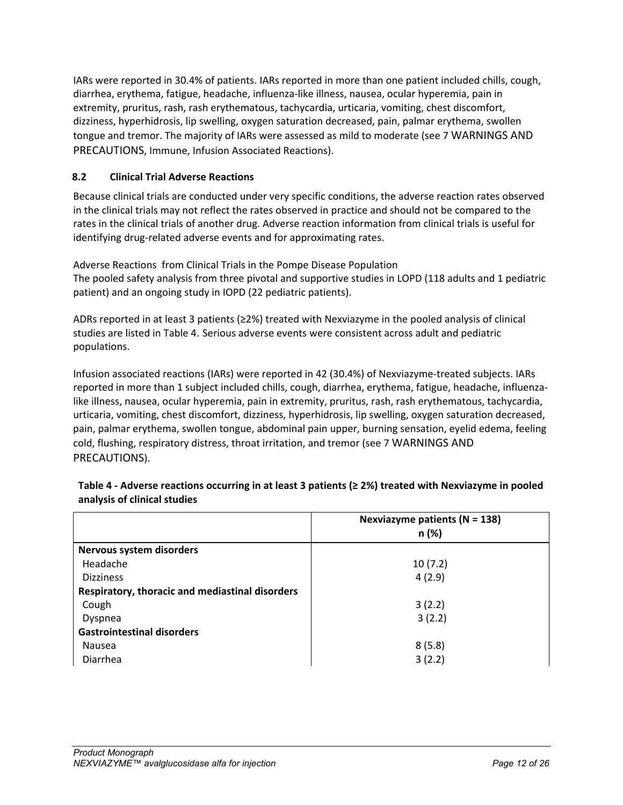IARs were reported in 30.4% of patients. IARs reported in more than one patient included chills, cough, diarrhea, erythema, fatigue, headache, influenza-like illness, nausea, ocular hyperemia, pain in extremity, pruritus, rash, rash erythematous, tachycardia, urticaria, vomiting, chest discomfort, dizziness, hyperhidrosis, lip swelling, oxygen saturation decreased, pain, palmar erythema, swollen tongue and tremor. The majority of IARs were assessed as mild to moderate (see 7 [WARNINGS AND](#page-7-1)  [PRECAUTIONS,](#page-7-1) Immune, Infusion Associated Reactions).

# <span id="page-11-0"></span>**8.2 Clinical Trial Adverse Reactions**

Because clinical trials are conducted under very specific conditions, the adverse reaction rates observed in the clinical trials may not reflect the rates observed in practice and should not be compared to the rates in the clinical trials of another drug. Adverse reaction information from clinical trials is useful for identifying drug-related adverse events and for approximating rates.

Adverse Reactions from Clinical Trials in the Pompe Disease Population The pooled safety analysis from three pivotal and supportive studies in LOPD (118 adults and 1 pediatric patient) and an ongoing study in IOPD (22 pediatric patients).

ADRs reported in at least 3 patients (≥2%) treated with Nexviazyme in the pooled analysis of clinical studies are listed in [Table 4.](#page-11-1) Serious adverse events were consistent across adult and pediatric populations.

Infusion associated reactions (IARs) were reported in 42 (30.4%) of Nexviazyme-treated subjects. IARs reported in more than 1 subject included chills, cough, diarrhea, erythema, fatigue, headache, influenzalike illness, nausea, ocular hyperemia, pain in extremity, pruritus, rash, rash erythematous, tachycardia, urticaria, vomiting, chest discomfort, dizziness, hyperhidrosis, lip swelling, oxygen saturation decreased, pain, palmar erythema, swollen tongue, abdominal pain upper, burning sensation, eyelid edema, feeling cold, flushing, respiratory distress, throat irritation, and tremor (see 7 [WARNINGS AND](#page-7-1)  [PRECAUTIONS\)](#page-7-1).

|                                                 | Nexviazyme patients ( $N = 138$ )<br>n (%) |
|-------------------------------------------------|--------------------------------------------|
| Nervous system disorders                        |                                            |
| Headache                                        | 10(7.2)                                    |
| <b>Dizziness</b>                                | 4(2.9)                                     |
| Respiratory, thoracic and mediastinal disorders |                                            |
| Cough                                           | 3(2.2)                                     |
| Dyspnea                                         | 3(2.2)                                     |
| <b>Gastrointestinal disorders</b>               |                                            |
| Nausea                                          | 8(5.8)                                     |
| Diarrhea                                        | 3(2.2)                                     |

<span id="page-11-1"></span>**Table 4 - Adverse reactions occurring in at least 3 patients (≥ 2%) treated with Nexviazyme in pooled analysis of clinical studies**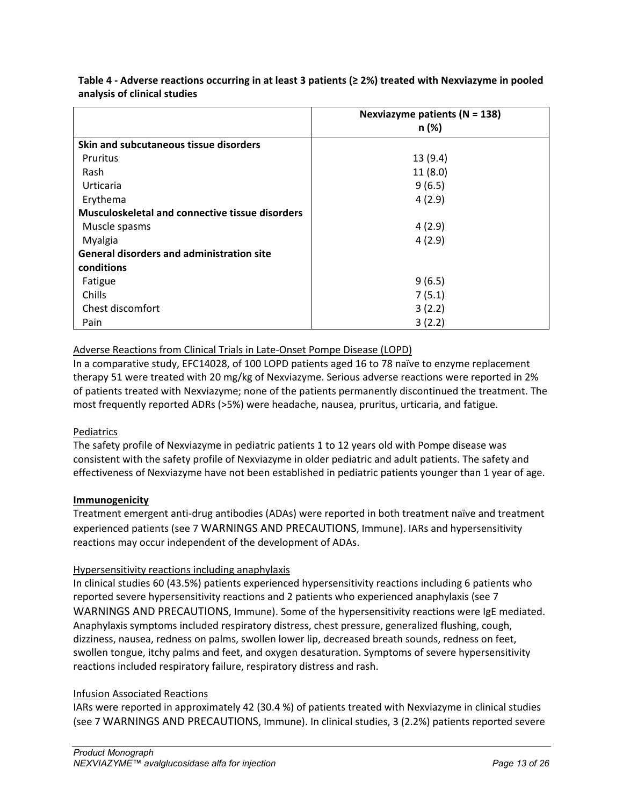|                                                        | Nexviazyme patients ( $N = 138$ ) |
|--------------------------------------------------------|-----------------------------------|
|                                                        | n (%)                             |
| Skin and subcutaneous tissue disorders                 |                                   |
| Pruritus                                               | 13(9.4)                           |
| Rash                                                   | 11(8.0)                           |
| Urticaria                                              | 9(6.5)                            |
| Erythema                                               | 4(2.9)                            |
| <b>Musculoskeletal and connective tissue disorders</b> |                                   |
| Muscle spasms                                          | 4(2.9)                            |
| Myalgia                                                | 4(2.9)                            |
| <b>General disorders and administration site</b>       |                                   |
| conditions                                             |                                   |
| Fatigue                                                | 9(6.5)                            |
| Chills                                                 | 7(5.1)                            |
| Chest discomfort                                       | 3(2.2)                            |
| Pain                                                   | 3(2.2)                            |

**Table 4 - Adverse reactions occurring in at least 3 patients (≥ 2%) treated with Nexviazyme in pooled analysis of clinical studies**

# Adverse Reactions from Clinical Trials in Late-Onset Pompe Disease (LOPD)

In a comparative study, EFC14028, of 100 LOPD patients aged 16 to 78 naïve to enzyme replacement therapy 51 were treated with 20 mg/kg of Nexviazyme. Serious adverse reactions were reported in 2% of patients treated with Nexviazyme; none of the patients permanently discontinued the treatment. The most frequently reported ADRs (>5%) were headache, nausea, pruritus, urticaria, and fatigue.

# Pediatrics

The safety profile of Nexviazyme in pediatric patients 1 to 12 years old with Pompe disease was consistent with the safety profile of Nexviazyme in older pediatric and adult patients. The safety and effectiveness of Nexviazyme have not been established in pediatric patients younger than 1 year of age.

### **Immunogenicity**

Treatment emergent anti-drug antibodies (ADAs) were reported in both treatment naïve and treatment experienced patients (see 7 [WARNINGS AND PRECAUTIONS,](#page-7-1) Immune). IARs and hypersensitivity reactions may occur independent of the development of ADAs.

### Hypersensitivity reactions including anaphylaxis

In clinical studies 60 (43.5%) patients experienced hypersensitivity reactions including 6 patients who reported severe hypersensitivity reactions and 2 patients who experienced anaphylaxis (see 7 [WARNINGS AND PRECAUTIONS,](#page-7-1) Immune). Some of the hypersensitivity reactions were IgE mediated. Anaphylaxis symptoms included respiratory distress, chest pressure, generalized flushing, cough, dizziness, nausea, redness on palms, swollen lower lip, decreased breath sounds, redness on feet, swollen tongue, itchy palms and feet, and oxygen desaturation. Symptoms of severe hypersensitivity reactions included respiratory failure, respiratory distress and rash.

### Infusion Associated Reactions

IARs were reported in approximately 42 (30.4 %) of patients treated with Nexviazyme in clinical studies (see 7 [WARNINGS AND PRECAUTIONS,](#page-7-1) Immune). In clinical studies, 3 (2.2%) patients reported severe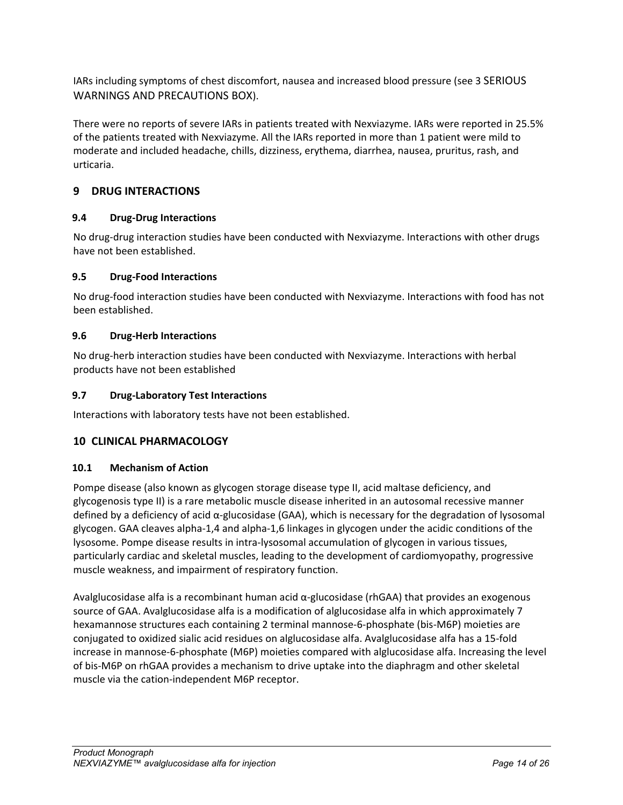IARs including symptoms of chest discomfort, nausea and increased blood pressure (see 3 [SERIOUS](#page-3-5)  [WARNINGS AND PRECAUTIONS BOX\)](#page-3-5).

There were no reports of severe IARs in patients treated with Nexviazyme. IARs were reported in 25.5% of the patients treated with Nexviazyme. All the IARs reported in more than 1 patient were mild to moderate and included headache, chills, dizziness, erythema, diarrhea, nausea, pruritus, rash, and urticaria.

# <span id="page-13-0"></span>**9 DRUG INTERACTIONS**

# <span id="page-13-1"></span>**9.4 Drug-Drug Interactions**

No drug-drug interaction studies have been conducted with Nexviazyme. Interactions with other drugs have not been established.

## <span id="page-13-2"></span>**9.5 Drug-Food Interactions**

No drug-food interaction studies have been conducted with Nexviazyme. Interactions with food has not been established.

## <span id="page-13-3"></span>**9.6 Drug-Herb Interactions**

No drug-herb interaction studies have been conducted with Nexviazyme. Interactions with herbal products have not been established

## <span id="page-13-4"></span>**9.7 Drug-Laboratory Test Interactions**

<span id="page-13-5"></span>Interactions with laboratory tests have not been established.

# **10 CLINICAL PHARMACOLOGY**

### <span id="page-13-6"></span>**10.1 Mechanism of Action**

Pompe disease (also known as glycogen storage disease type II, acid maltase deficiency, and glycogenosis type II) is a rare metabolic muscle disease inherited in an autosomal recessive manner defined by a deficiency of acid  $\alpha$ -glucosidase (GAA), which is necessary for the degradation of lysosomal glycogen. GAA cleaves alpha-1,4 and alpha-1,6 linkages in glycogen under the acidic conditions of the lysosome. Pompe disease results in intra-lysosomal accumulation of glycogen in various tissues, particularly cardiac and skeletal muscles, leading to the development of cardiomyopathy, progressive muscle weakness, and impairment of respiratory function.

Avalglucosidase alfa is a recombinant human acid α-glucosidase (rhGAA) that provides an exogenous source of GAA. Avalglucosidase alfa is a modification of alglucosidase alfa in which approximately 7 hexamannose structures each containing 2 terminal mannose-6-phosphate (bis-M6P) moieties are conjugated to oxidized sialic acid residues on alglucosidase alfa. Avalglucosidase alfa has a 15-fold increase in mannose-6-phosphate (M6P) moieties compared with alglucosidase alfa. Increasing the level of bis-M6P on rhGAA provides a mechanism to drive uptake into the diaphragm and other skeletal muscle via the cation-independent M6P receptor.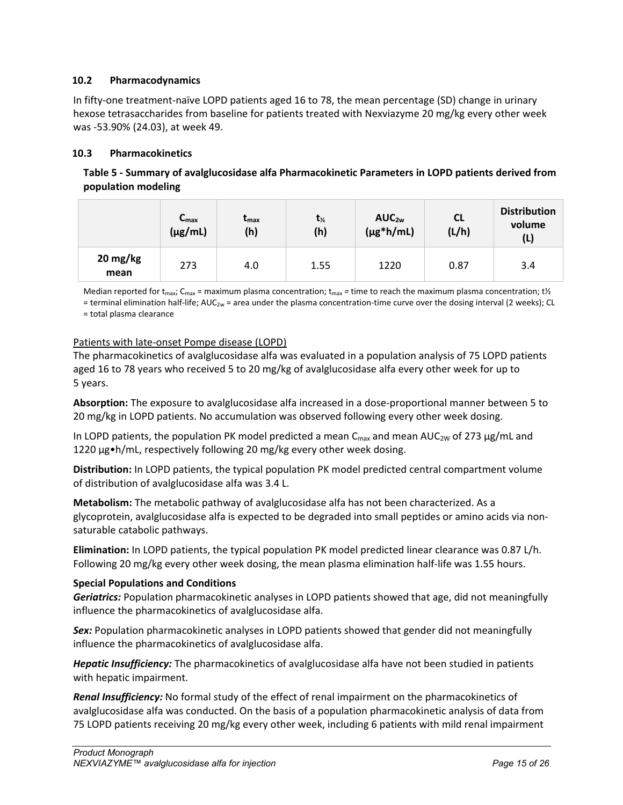## <span id="page-14-0"></span>**10.2 Pharmacodynamics**

In fifty-one treatment-naïve LOPD patients aged 16 to 78, the mean percentage (SD) change in urinary hexose tetrasaccharides from baseline for patients treated with Nexviazyme 20 mg/kg every other week was -53.90% (24.03), at week 49.

## <span id="page-14-1"></span>**10.3 Pharmacokinetics**

| Table 5 - Summary of avalglucosidase alfa Pharmacokinetic Parameters in LOPD patients derived from |
|----------------------------------------------------------------------------------------------------|
| population modeling                                                                                |

|                  | $C_{\text{max}}$<br>$(\mu g/mL)$ | $t_{\rm max}$<br>(h) | $t_{\frac{1}{2}}$<br>(h) | AUC <sub>2w</sub><br>$(\mu g^* h/mL)$ | <b>CL</b><br>(L/h) | <b>Distribution</b><br>volume<br>(L) |
|------------------|----------------------------------|----------------------|--------------------------|---------------------------------------|--------------------|--------------------------------------|
| 20 mg/kg<br>mean | 273                              | 4.0                  | 1.55                     | 1220                                  | 0.87               | 3.4                                  |

Median reported for t<sub>max</sub>; C<sub>max</sub> = maximum plasma concentration; t<sub>max</sub> = time to reach the maximum plasma concentration; t½

= terminal elimination half-life; AUC<sub>2w</sub> = area under the plasma concentration-time curve over the dosing interval (2 weeks); CL

= total plasma clearance

### Patients with late-onset Pompe disease (LOPD)

The pharmacokinetics of avalglucosidase alfa was evaluated in a population analysis of 75 LOPD patients aged 16 to 78 years who received 5 to 20 mg/kg of avalglucosidase alfa every other week for up to 5 years.

**Absorption:** The exposure to avalglucosidase alfa increased in a dose-proportional manner between 5 to 20 mg/kg in LOPD patients. No accumulation was observed following every other week dosing.

In LOPD patients, the population PK model predicted a mean  $C_{\text{max}}$  and mean AUC<sub>2W</sub> of 273  $\mu$ g/mL and 1220 µg•h/mL, respectively following 20 mg/kg every other week dosing.

**Distribution:** In LOPD patients, the typical population PK model predicted central compartment volume of distribution of avalglucosidase alfa was 3.4 L.

**Metabolism:** The metabolic pathway of avalglucosidase alfa has not been characterized. As a glycoprotein, avalglucosidase alfa is expected to be degraded into small peptides or amino acids via nonsaturable catabolic pathways.

**Elimination:** In LOPD patients, the typical population PK model predicted linear clearance was 0.87 L/h. Following 20 mg/kg every other week dosing, the mean plasma elimination half-life was 1.55 hours.

### **Special Populations and Conditions**

*Geriatrics:* Population pharmacokinetic analyses in LOPD patients showed that age, did not meaningfully influence the pharmacokinetics of avalglucosidase alfa.

*Sex:* Population pharmacokinetic analyses in LOPD patients showed that gender did not meaningfully influence the pharmacokinetics of avalglucosidase alfa.

*Hepatic Insufficiency:* The pharmacokinetics of avalglucosidase alfa have not been studied in patients with hepatic impairment.

*Renal Insufficiency:* No formal study of the effect of renal impairment on the pharmacokinetics of avalglucosidase alfa was conducted. On the basis of a population pharmacokinetic analysis of data from 75 LOPD patients receiving 20 mg/kg every other week, including 6 patients with mild renal impairment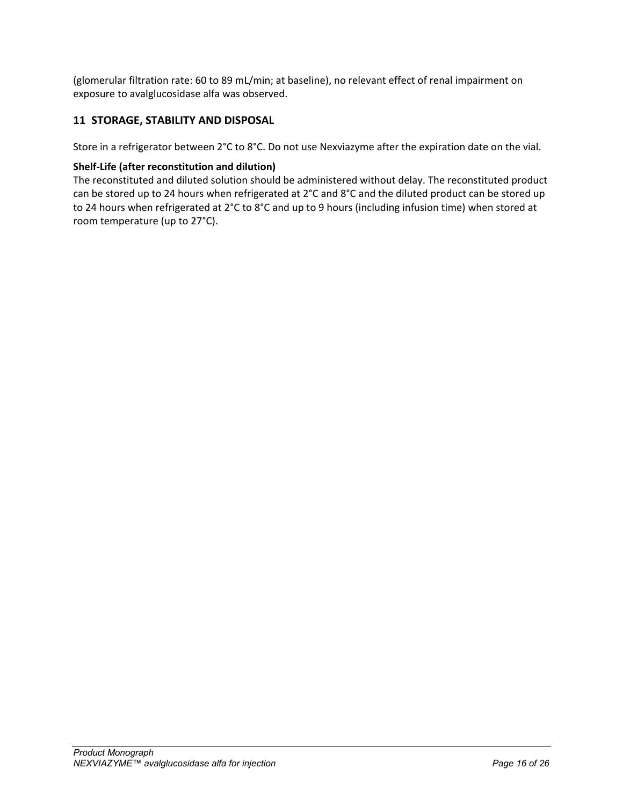(glomerular filtration rate: 60 to 89 mL/min; at baseline), no relevant effect of renal impairment on exposure to avalglucosidase alfa was observed.

# <span id="page-15-0"></span>**11 STORAGE, STABILITY AND DISPOSAL**

Store in a refrigerator between 2°C to 8°C. Do not use Nexviazyme after the expiration date on the vial.

### **Shelf-Life (after reconstitution and dilution)**

The reconstituted and diluted solution should be administered without delay. The reconstituted product can be stored up to 24 hours when refrigerated at 2°C and 8°C and the diluted product can be stored up to 24 hours when refrigerated at 2°C to 8°C and up to 9 hours (including infusion time) when stored at room temperature (up to 27°C).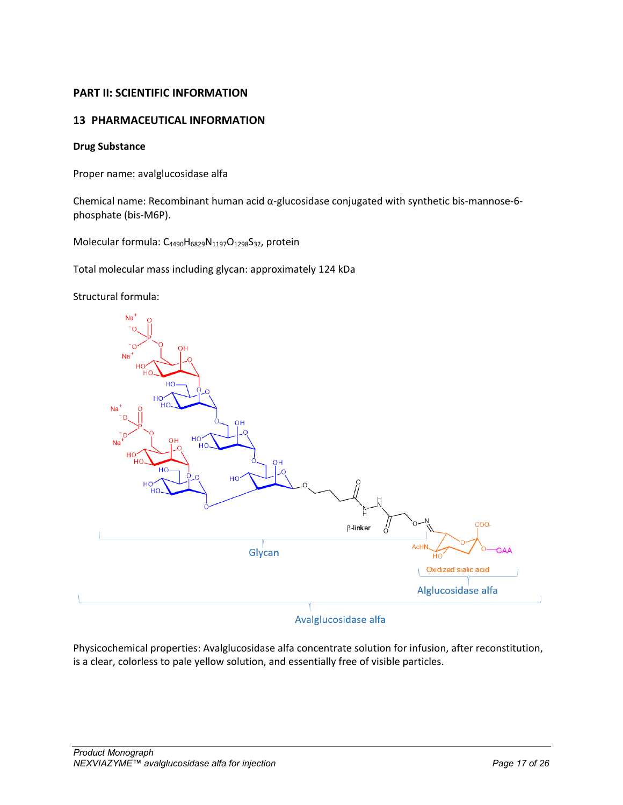# <span id="page-16-0"></span>**PART II: SCIENTIFIC INFORMATION**

# <span id="page-16-1"></span>**13 PHARMACEUTICAL INFORMATION**

### **Drug Substance**

Proper name: avalglucosidase alfa

Chemical name: Recombinant human acid α-glucosidase conjugated with synthetic bis-mannose-6 phosphate (bis-M6P).

Molecular formula: C<sub>4490</sub>H<sub>6829</sub>N<sub>1197</sub>O<sub>1298</sub>S<sub>32</sub>, protein

Total molecular mass including glycan: approximately 124 kDa

Structural formula:



# Avalglucosidase alfa

Physicochemical properties: Avalglucosidase alfa concentrate solution for infusion, after reconstitution, is a clear, colorless to pale yellow solution, and essentially free of visible particles.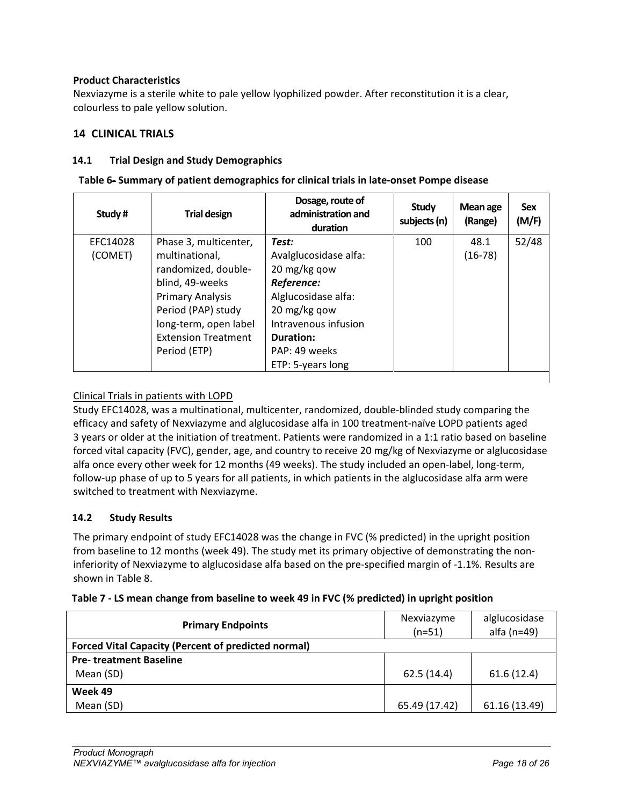## **Product Characteristics**

Nexviazyme is a sterile white to pale yellow lyophilized powder. After reconstitution it is a clear, colourless to pale yellow solution.

# <span id="page-17-0"></span>**14 CLINICAL TRIALS**

### <span id="page-17-1"></span>**14.1 Trial Design and Study Demographics**

| Table 6- Summary of patient demographics for clinical trials in late-onset Pompe disease |  |  |  |
|------------------------------------------------------------------------------------------|--|--|--|
|------------------------------------------------------------------------------------------|--|--|--|

| Study#   | <b>Trial design</b>        | Dosage, route of<br>administration and<br>duration | <b>Study</b><br>subjects (n) | Mean age<br>(Range) | <b>Sex</b><br>(M/F) |
|----------|----------------------------|----------------------------------------------------|------------------------------|---------------------|---------------------|
| EFC14028 | Phase 3, multicenter,      | Test:                                              | 100                          | 48.1                | 52/48               |
| (COMET)  | multinational,             | Avalglucosidase alfa:                              |                              | $(16-78)$           |                     |
|          | randomized, double-        | 20 mg/kg qow                                       |                              |                     |                     |
|          | blind, 49-weeks            | Reference:                                         |                              |                     |                     |
|          | <b>Primary Analysis</b>    | Alglucosidase alfa:                                |                              |                     |                     |
|          | Period (PAP) study         | 20 mg/kg qow                                       |                              |                     |                     |
|          | long-term, open label      | Intravenous infusion                               |                              |                     |                     |
|          | <b>Extension Treatment</b> | Duration:                                          |                              |                     |                     |
|          | Period (ETP)               | PAP: 49 weeks                                      |                              |                     |                     |
|          |                            | ETP: 5-years long                                  |                              |                     |                     |
|          |                            |                                                    |                              |                     |                     |

## Clinical Trials in patients with LOPD

Study EFC14028, was a multinational, multicenter, randomized, double-blinded study comparing the efficacy and safety of Nexviazyme and alglucosidase alfa in 100 treatment-naïve LOPD patients aged 3 years or older at the initiation of treatment. Patients were randomized in a 1:1 ratio based on baseline forced vital capacity (FVC), gender, age, and country to receive 20 mg/kg of Nexviazyme or alglucosidase alfa once every other week for 12 months (49 weeks). The study included an open-label, long-term, follow-up phase of up to 5 years for all patients, in which patients in the alglucosidase alfa arm were switched to treatment with Nexviazyme.

### <span id="page-17-2"></span>**14.2 Study Results**

The primary endpoint of study EFC14028 was the change in FVC (% predicted) in the upright position from baseline to 12 months (week 49). The study met its primary objective of demonstrating the noninferiority of Nexviazyme to alglucosidase alfa based on the pre-specified margin of -1.1%. Results are shown in [Table 8.](#page-17-3)

| <b>Primary Endpoints</b>                                   | Nexviazyme<br>$(n=51)$ | alglucosidase<br>alfa $(n=49)$ |  |
|------------------------------------------------------------|------------------------|--------------------------------|--|
| <b>Forced Vital Capacity (Percent of predicted normal)</b> |                        |                                |  |
| <b>Pre- treatment Baseline</b>                             |                        |                                |  |
| Mean (SD)                                                  | 62.5(14.4)             | 61.6(12.4)                     |  |
| Week 49                                                    |                        |                                |  |
| Mean (SD)                                                  | 65.49 (17.42)          | 61.16 (13.49)                  |  |

<span id="page-17-3"></span>

| Table 7 - LS mean change from baseline to week 49 in FVC (% predicted) in upright position |  |  |  |  |  |  |  |
|--------------------------------------------------------------------------------------------|--|--|--|--|--|--|--|
|--------------------------------------------------------------------------------------------|--|--|--|--|--|--|--|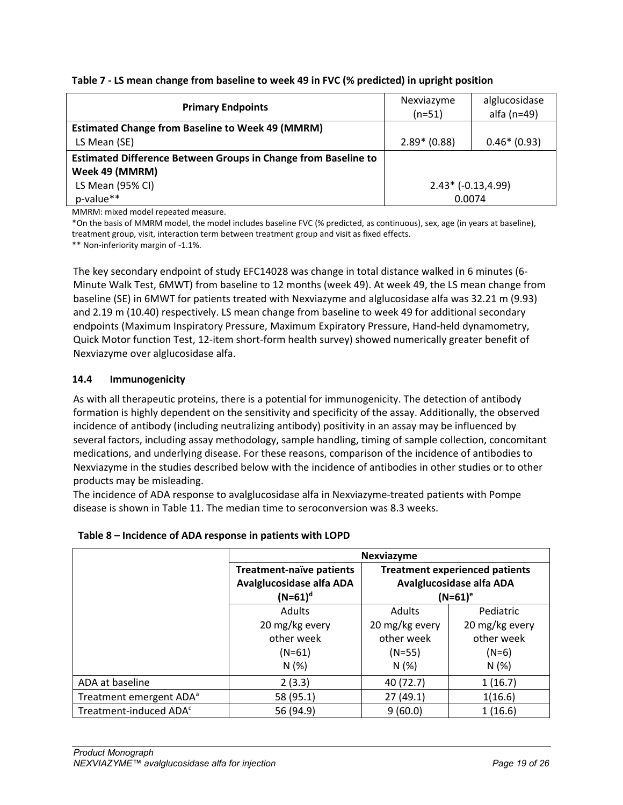| Table 7 - LS mean change from baseline to week 49 in FVC (% predicted) in upright position |
|--------------------------------------------------------------------------------------------|
|--------------------------------------------------------------------------------------------|

| <b>Primary Endpoints</b>                                              | alglucosidase<br>Nexviazyme<br>alfa $(n=49)$<br>$(n=51)$ |  |  |
|-----------------------------------------------------------------------|----------------------------------------------------------|--|--|
| <b>Estimated Change from Baseline to Week 49 (MMRM)</b>               |                                                          |  |  |
| LS Mean (SE)                                                          | $2.89* (0.88)$<br>$0.46*(0.93)$                          |  |  |
| <b>Estimated Difference Between Groups in Change from Baseline to</b> |                                                          |  |  |
| Week 49 (MMRM)                                                        |                                                          |  |  |
| LS Mean (95% CI)                                                      | $2.43* (-0.13, 4.99)$                                    |  |  |
| p-value**                                                             | 0.0074                                                   |  |  |

MMRM: mixed model repeated measure.

\*On the basis of MMRM model, the model includes baseline FVC (% predicted, as continuous), sex, age (in years at baseline), treatment group, visit, interaction term between treatment group and visit as fixed effects.

\*\* Non-inferiority margin of -1.1%.

The key secondary endpoint of study EFC14028 was change in total distance walked in 6 minutes (6- Minute Walk Test, 6MWT) from baseline to 12 months (week 49). At week 49, the LS mean change from baseline (SE) in 6MWT for patients treated with Nexviazyme and alglucosidase alfa was 32.21 m (9.93) and 2.19 m (10.40) respectively. LS mean change from baseline to week 49 for additional secondary endpoints (Maximum Inspiratory Pressure, Maximum Expiratory Pressure, Hand-held dynamometry, Quick Motor function Test, 12-item short-form health survey) showed numerically greater benefit of Nexviazyme over alglucosidase alfa.

## <span id="page-18-0"></span>**14.4 Immunogenicity**

As with all therapeutic proteins, there is a potential for immunogenicity. The detection of antibody formation is highly dependent on the sensitivity and specificity of the assay. Additionally, the observed incidence of antibody (including neutralizing antibody) positivity in an assay may be influenced by several factors, including assay methodology, sample handling, timing of sample collection, concomitant medications, and underlying disease. For these reasons, comparison of the incidence of antibodies to Nexviazyme in the studies described below with the incidence of antibodies in other studies or to other products may be misleading.

The incidence of ADA response to avalglucosidase alfa in Nexviazyme-treated patients with Pompe disease is shown in Table 11. The median time to seroconversion was 8.3 weeks.

|                                     | Nexviazyme                                                               |                |                |  |  |
|-------------------------------------|--------------------------------------------------------------------------|----------------|----------------|--|--|
|                                     | <b>Treatment experienced patients</b><br><b>Treatment-naïve patients</b> |                |                |  |  |
|                                     | Avalglucosidase alfa ADA<br>Avalglucosidase alfa ADA                     |                |                |  |  |
|                                     | $(N=61)^d$                                                               | $(N=61)^e$     |                |  |  |
|                                     | <b>Adults</b>                                                            | <b>Adults</b>  | Pediatric      |  |  |
|                                     | 20 mg/kg every                                                           | 20 mg/kg every | 20 mg/kg every |  |  |
|                                     | other week                                                               | other week     | other week     |  |  |
|                                     | $(N=61)$                                                                 | $(N=55)$       | $(N=6)$        |  |  |
|                                     | N(%)                                                                     | N(%)           | N(%)           |  |  |
| ADA at baseline                     | 2(3.3)                                                                   | 40 (72.7)      | 1(16.7)        |  |  |
| Treatment emergent ADA <sup>a</sup> | 58 (95.1)                                                                | 27 (49.1)      | 1(16.6)        |  |  |
| Treatment-induced ADA <sup>c</sup>  | 56 (94.9)                                                                | 9(60.0)        | 1(16.6)        |  |  |

# **Table 8 – Incidence of ADA response in patients with LOPD**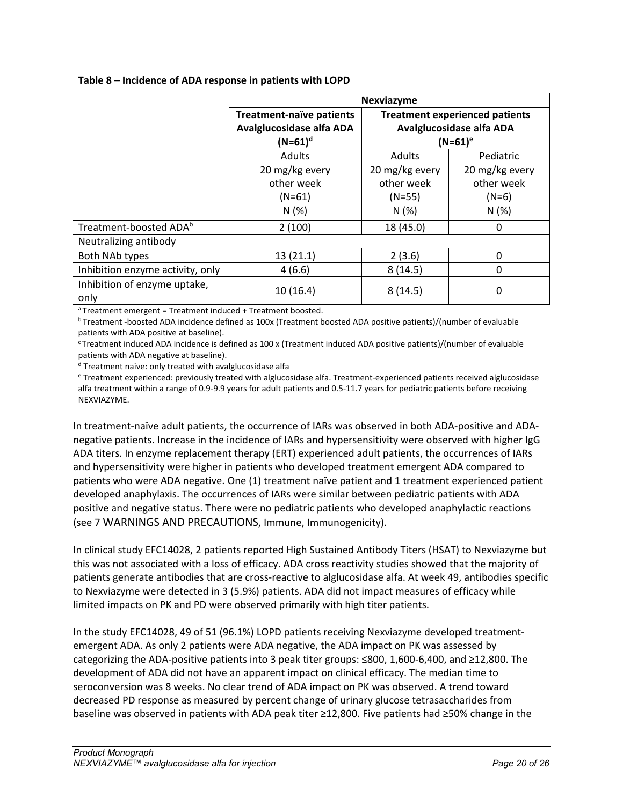|  | Table 8 - Incidence of ADA response in patients with LOPD |  |  |  |  |  |
|--|-----------------------------------------------------------|--|--|--|--|--|
|--|-----------------------------------------------------------|--|--|--|--|--|

|                                      | <b>Nexviazyme</b>               |                                                               |                |  |  |
|--------------------------------------|---------------------------------|---------------------------------------------------------------|----------------|--|--|
|                                      | <b>Treatment-naïve patients</b> | <b>Treatment experienced patients</b>                         |                |  |  |
|                                      | Avalglucosidase alfa ADA        | Avalglucosidase alfa ADA<br>$(N=61)^e$<br>Pediatric<br>Adults |                |  |  |
|                                      | $(N=61)^d$                      |                                                               |                |  |  |
|                                      | Adults                          |                                                               |                |  |  |
|                                      | 20 mg/kg every                  | 20 mg/kg every                                                | 20 mg/kg every |  |  |
|                                      | other week                      | other week                                                    | other week     |  |  |
|                                      | $(N=61)$                        | $(N=55)$                                                      | $(N=6)$        |  |  |
|                                      | N(%)                            | N(%)                                                          | N(%)           |  |  |
| Treatment-boosted ADA <sup>b</sup>   | 2(100)                          | 18 (45.0)                                                     | 0              |  |  |
| Neutralizing antibody                |                                 |                                                               |                |  |  |
| Both NAb types                       | 13(21.1)                        | 2(3.6)                                                        | 0              |  |  |
| Inhibition enzyme activity, only     | 4(6.6)                          | 8(14.5)                                                       | 0              |  |  |
| Inhibition of enzyme uptake,<br>only | 10(16.4)                        | 8(14.5)                                                       | 0              |  |  |

a Treatment emergent = Treatment induced + Treatment boosted.

b Treatment -boosted ADA incidence defined as 100x (Treatment boosted ADA positive patients)/(number of evaluable patients with ADA positive at baseline).

<sup>c</sup> Treatment induced ADA incidence is defined as 100 x (Treatment induced ADA positive patients)/(number of evaluable patients with ADA negative at baseline).

<sup>d</sup> Treatment naive: only treated with avalglucosidase alfa

<sup>e</sup> Treatment experienced: previously treated with alglucosidase alfa. Treatment-experienced patients received alglucosidase alfa treatment within a range of 0.9-9.9 years for adult patients and 0.5-11.7 years for pediatric patients before receiving NEXVIAZYME.

In treatment-naïve adult patients, the occurrence of IARs was observed in both ADA-positive and ADAnegative patients. Increase in the incidence of IARs and hypersensitivity were observed with higher IgG ADA titers. In enzyme replacement therapy (ERT) experienced adult patients, the occurrences of IARs and hypersensitivity were higher in patients who developed treatment emergent ADA compared to patients who were ADA negative. One (1) treatment naïve patient and 1 treatment experienced patient developed anaphylaxis. The occurrences of IARs were similar between pediatric patients with ADA positive and negative status. There were no pediatric patients who developed anaphylactic reactions (see 7 [WARNINGS AND PRECAUTIONS,](#page-7-1) Immune, Immunogenicity).

In clinical study EFC14028, 2 patients reported High Sustained Antibody Titers (HSAT) to Nexviazyme but this was not associated with a loss of efficacy. ADA cross reactivity studies showed that the majority of patients generate antibodies that are cross-reactive to alglucosidase alfa. At week 49, antibodies specific to Nexviazyme were detected in 3 (5.9%) patients. ADA did not impact measures of efficacy while limited impacts on PK and PD were observed primarily with high titer patients.

In the study EFC14028, 49 of 51 (96.1%) LOPD patients receiving Nexviazyme developed treatmentemergent ADA. As only 2 patients were ADA negative, the ADA impact on PK was assessed by categorizing the ADA-positive patients into 3 peak titer groups: ≤800, 1,600-6,400, and ≥12,800. The development of ADA did not have an apparent impact on clinical efficacy. The median time to seroconversion was 8 weeks. No clear trend of ADA impact on PK was observed. A trend toward decreased PD response as measured by percent change of urinary glucose tetrasaccharides from baseline was observed in patients with ADA peak titer ≥12,800. Five patients had ≥50% change in the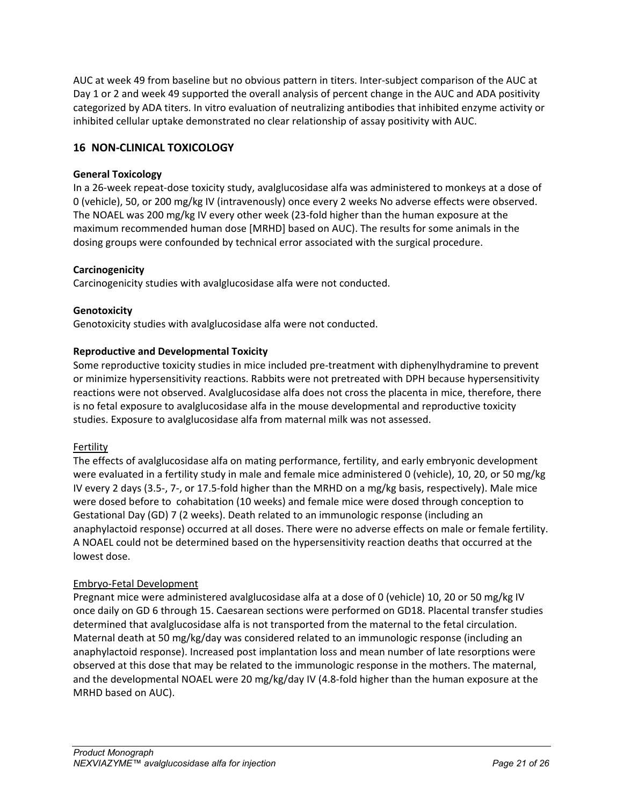AUC at week 49 from baseline but no obvious pattern in titers. Inter-subject comparison of the AUC at Day 1 or 2 and week 49 supported the overall analysis of percent change in the AUC and ADA positivity categorized by ADA titers. In vitro evaluation of neutralizing antibodies that inhibited enzyme activity or inhibited cellular uptake demonstrated no clear relationship of assay positivity with AUC.

# <span id="page-20-0"></span>**16 NON-CLINICAL TOXICOLOGY**

# **General Toxicology**

In a 26-week repeat-dose toxicity study, avalglucosidase alfa was administered to monkeys at a dose of 0 (vehicle), 50, or 200 mg/kg IV (intravenously) once every 2 weeks No adverse effects were observed. The NOAEL was 200 mg/kg IV every other week (23-fold higher than the human exposure at the maximum recommended human dose [MRHD] based on AUC). The results for some animals in the dosing groups were confounded by technical error associated with the surgical procedure.

## **Carcinogenicity**

Carcinogenicity studies with avalglucosidase alfa were not conducted.

## **Genotoxicity**

Genotoxicity studies with avalglucosidase alfa were not conducted.

## **Reproductive and Developmental Toxicity**

Some reproductive toxicity studies in mice included pre-treatment with diphenylhydramine to prevent or minimize hypersensitivity reactions. Rabbits were not pretreated with DPH because hypersensitivity reactions were not observed. Avalglucosidase alfa does not cross the placenta in mice, therefore, there is no fetal exposure to avalglucosidase alfa in the mouse developmental and reproductive toxicity studies. Exposure to avalglucosidase alfa from maternal milk was not assessed.

### Fertility

The effects of avalglucosidase alfa on mating performance, fertility, and early embryonic development were evaluated in a fertility study in male and female mice administered 0 (vehicle), 10, 20, or 50 mg/kg IV every 2 days (3.5-, 7-, or 17.5-fold higher than the MRHD on a mg/kg basis, respectively). Male mice were dosed before to cohabitation (10 weeks) and female mice were dosed through conception to Gestational Day (GD) 7 (2 weeks). Death related to an immunologic response (including an anaphylactoid response) occurred at all doses. There were no adverse effects on male or female fertility. A NOAEL could not be determined based on the hypersensitivity reaction deaths that occurred at the lowest dose.

### Embryo-Fetal Development

Pregnant mice were administered avalglucosidase alfa at a dose of 0 (vehicle) 10, 20 or 50 mg/kg IV once daily on GD 6 through 15. Caesarean sections were performed on GD18. Placental transfer studies determined that avalglucosidase alfa is not transported from the maternal to the fetal circulation. Maternal death at 50 mg/kg/day was considered related to an immunologic response (including an anaphylactoid response). Increased post implantation loss and mean number of late resorptions were observed at this dose that may be related to the immunologic response in the mothers. The maternal, and the developmental NOAEL were 20 mg/kg/day IV (4.8-fold higher than the human exposure at the MRHD based on AUC).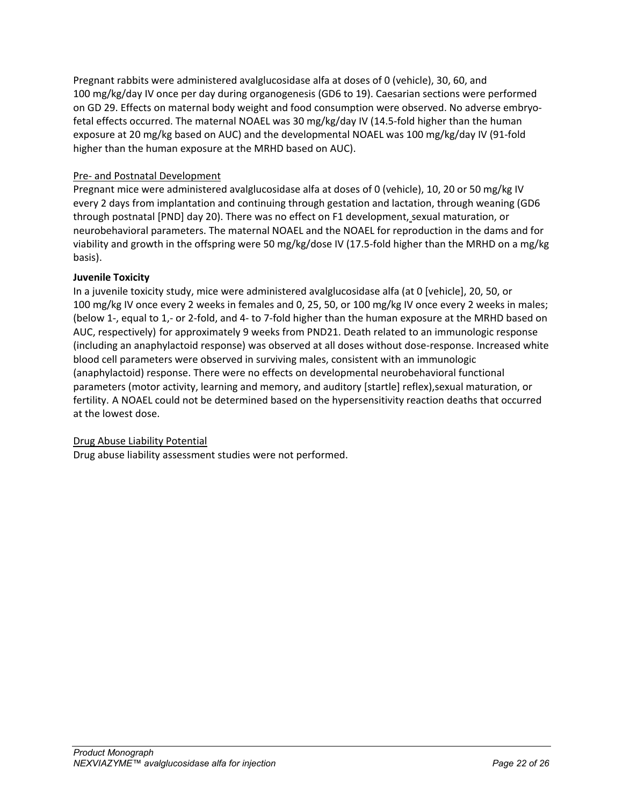Pregnant rabbits were administered avalglucosidase alfa at doses of 0 (vehicle), 30, 60, and 100 mg/kg/day IV once per day during organogenesis (GD6 to 19). Caesarian sections were performed on GD 29. Effects on maternal body weight and food consumption were observed. No adverse embryofetal effects occurred. The maternal NOAEL was 30 mg/kg/day IV (14.5-fold higher than the human exposure at 20 mg/kg based on AUC) and the developmental NOAEL was 100 mg/kg/day IV (91-fold higher than the human exposure at the MRHD based on AUC).

## Pre- and Postnatal Development

Pregnant mice were administered avalglucosidase alfa at doses of 0 (vehicle), 10, 20 or 50 mg/kg IV every 2 days from implantation and continuing through gestation and lactation, through weaning (GD6 through postnatal [PND] day 20). There was no effect on F1 development, sexual maturation, or neurobehavioral parameters. The maternal NOAEL and the NOAEL for reproduction in the dams and for viability and growth in the offspring were 50 mg/kg/dose IV (17.5-fold higher than the MRHD on a mg/kg basis).

### **Juvenile Toxicity**

In a juvenile toxicity study, mice were administered avalglucosidase alfa (at 0 [vehicle], 20, 50, or 100 mg/kg IV once every 2 weeks in females and 0, 25, 50, or 100 mg/kg IV once every 2 weeks in males; (below 1-, equal to 1,- or 2-fold, and 4- to 7-fold higher than the human exposure at the MRHD based on AUC, respectively) for approximately 9 weeks from PND21. Death related to an immunologic response (including an anaphylactoid response) was observed at all doses without dose-response. Increased white blood cell parameters were observed in surviving males, consistent with an immunologic (anaphylactoid) response. There were no effects on developmental neurobehavioral functional parameters (motor activity, learning and memory, and auditory [startle] reflex),sexual maturation, or fertility. A NOAEL could not be determined based on the hypersensitivity reaction deaths that occurred at the lowest dose.

### Drug Abuse Liability Potential

Drug abuse liability assessment studies were not performed.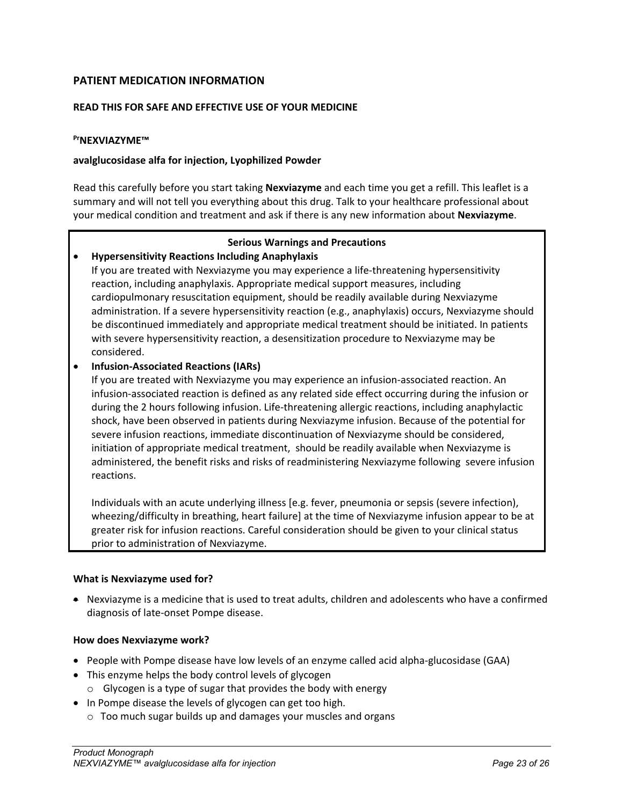# <span id="page-22-0"></span>**PATIENT MEDICATION INFORMATION**

### **READ THIS FOR SAFE AND EFFECTIVE USE OF YOUR MEDICINE**

#### **PrNEXVIAZYME™**

#### **avalglucosidase alfa for injection, Lyophilized Powder**

Read this carefully before you start taking **Nexviazyme** and each time you get a refill. This leaflet is a summary and will not tell you everything about this drug. Talk to your healthcare professional about your medical condition and treatment and ask if there is any new information about **Nexviazyme**.

#### **Serious Warnings and Precautions**

### • **Hypersensitivity Reactions Including Anaphylaxis**

If you are treated with Nexviazyme you may experience a life-threatening hypersensitivity reaction, including anaphylaxis. Appropriate medical support measures, including cardiopulmonary resuscitation equipment, should be readily available during Nexviazyme administration. If a severe hypersensitivity reaction (e.g., anaphylaxis) occurs, Nexviazyme should be discontinued immediately and appropriate medical treatment should be initiated. In patients with severe hypersensitivity reaction, a desensitization procedure to Nexviazyme may be considered.

## • **Infusion-Associated Reactions (IARs)**

If you are treated with Nexviazyme you may experience an infusion-associated reaction. An infusion-associated reaction is defined as any related side effect occurring during the infusion or during the 2 hours following infusion. Life-threatening allergic reactions, including anaphylactic shock, have been observed in patients during Nexviazyme infusion. Because of the potential for severe infusion reactions, immediate discontinuation of Nexviazyme should be considered, initiation of appropriate medical treatment, should be readily available when Nexviazyme is administered, the benefit risks and risks of readministering Nexviazyme following severe infusion reactions.

Individuals with an acute underlying illness [e.g. fever, pneumonia or sepsis (severe infection), wheezing/difficulty in breathing, heart failure] at the time of Nexviazyme infusion appear to be at greater risk for infusion reactions. Careful consideration should be given to your clinical status prior to administration of Nexviazyme.

### **What is Nexviazyme used for?**

• Nexviazyme is a medicine that is used to treat adults, children and adolescents who have a confirmed diagnosis of late-onset Pompe disease.

### **How does Nexviazyme work?**

- People with Pompe disease have low levels of an enzyme called acid alpha-glucosidase (GAA)
- This enzyme helps the body control levels of glycogen
	- o Glycogen is a type of sugar that provides the body with energy
- In Pompe disease the levels of glycogen can get too high.
	- o Too much sugar builds up and damages your muscles and organs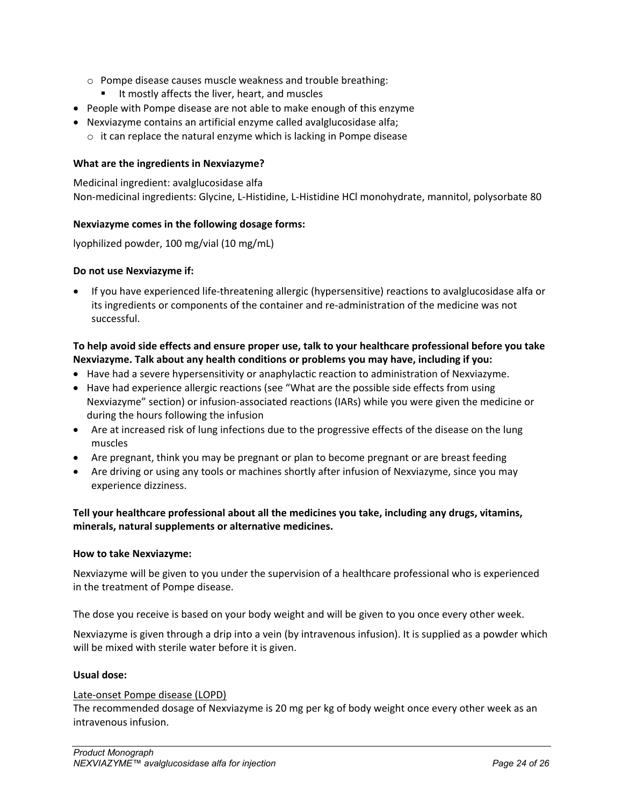- o Pompe disease causes muscle weakness and trouble breathing:
	- It mostly affects the liver, heart, and muscles
- People with Pompe disease are not able to make enough of this enzyme
- Nexviazyme contains an artificial enzyme called avalglucosidase alfa;
	- $\circ$  it can replace the natural enzyme which is lacking in Pompe disease

#### **What are the ingredients in Nexviazyme?**

Medicinal ingredient: avalglucosidase alfa Non-medicinal ingredients: Glycine, L-Histidine, L-Histidine HCl monohydrate, mannitol, polysorbate 80

#### **Nexviazyme comes in the following dosage forms:**

lyophilized powder, 100 mg/vial (10 mg/mL)

#### **Do not use Nexviazyme if:**

• If you have experienced life-threatening allergic (hypersensitive) reactions to avalglucosidase alfa or its ingredients or components of the container and re-administration of the medicine was not successful.

### **To help avoid side effects and ensure proper use, talk to your healthcare professional before you take Nexviazyme. Talk about any health conditions or problems you may have, including if you:**

- Have had a severe hypersensitivity or anaphylactic reaction to administration of Nexviazyme.
- Have had experience allergic reactions (see "What are the possible side effects from using Nexviazyme" section) or infusion-associated reactions (IARs) while you were given the medicine or during the hours following the infusion
- Are at increased risk of lung infections due to the progressive effects of the disease on the lung muscles
- Are pregnant, think you may be pregnant or plan to become pregnant or are breast feeding
- Are driving or using any tools or machines shortly after infusion of Nexviazyme, since you may experience dizziness.

## **Tell your healthcare professional about all the medicines you take, including any drugs, vitamins, minerals, natural supplements or alternative medicines.**

#### **How to take Nexviazyme:**

Nexviazyme will be given to you under the supervision of a healthcare professional who is experienced in the treatment of Pompe disease.

The dose you receive is based on your body weight and will be given to you once every other week.

Nexviazyme is given through a drip into a vein (by intravenous infusion). It is supplied as a powder which will be mixed with sterile water before it is given.

#### **Usual dose:**

#### Late-onset Pompe disease (LOPD)

The recommended dosage of Nexviazyme is 20 mg per kg of body weight once every other week as an intravenous infusion.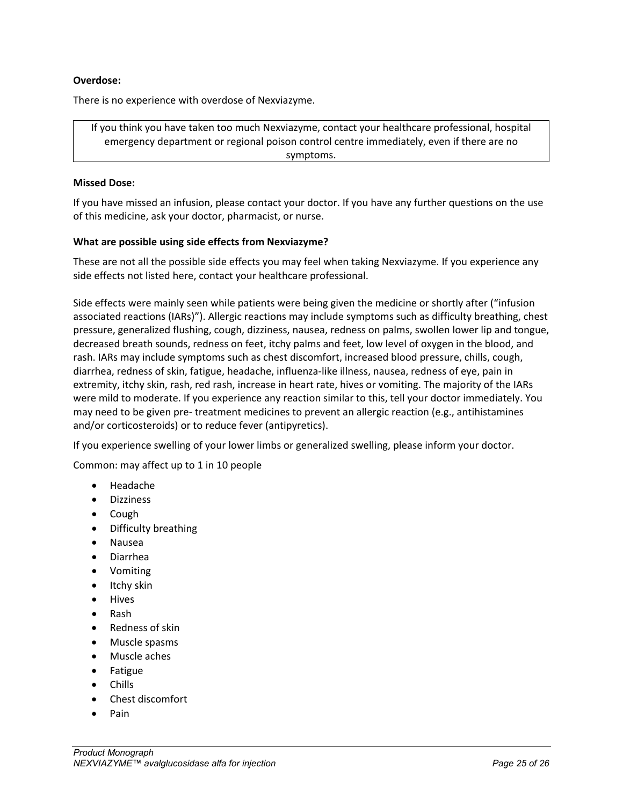#### **Overdose:**

There is no experience with overdose of Nexviazyme.

If you think you have taken too much Nexviazyme, contact your healthcare professional, hospital emergency department or regional poison control centre immediately, even if there are no symptoms.

#### **Missed Dose:**

If you have missed an infusion, please contact your doctor. If you have any further questions on the use of this medicine, ask your doctor, pharmacist, or nurse.

#### **What are possible using side effects from Nexviazyme?**

These are not all the possible side effects you may feel when taking Nexviazyme. If you experience any side effects not listed here, contact your healthcare professional.

Side effects were mainly seen while patients were being given the medicine or shortly after ("infusion associated reactions (IARs)"). Allergic reactions may include symptoms such as difficulty breathing, chest pressure, generalized flushing, cough, dizziness, nausea, redness on palms, swollen lower lip and tongue, decreased breath sounds, redness on feet, itchy palms and feet, low level of oxygen in the blood, and rash. IARs may include symptoms such as chest discomfort, increased blood pressure, chills, cough, diarrhea, redness of skin, fatigue, headache, influenza-like illness, nausea, redness of eye, pain in extremity, itchy skin, rash, red rash, increase in heart rate, hives or vomiting. The majority of the IARs were mild to moderate. If you experience any reaction similar to this, tell your doctor immediately. You may need to be given pre- treatment medicines to prevent an allergic reaction (e.g., antihistamines and/or corticosteroids) or to reduce fever (antipyretics).

If you experience swelling of your lower limbs or generalized swelling, please inform your doctor.

Common: may affect up to 1 in 10 people

- Headache
- Dizziness
- Cough
- Difficulty breathing
- Nausea
- Diarrhea
- Vomiting
- Itchy skin
- **Hives**
- Rash
- Redness of skin
- Muscle spasms
- Muscle aches
- Fatigue
- Chills
- Chest discomfort
- Pain